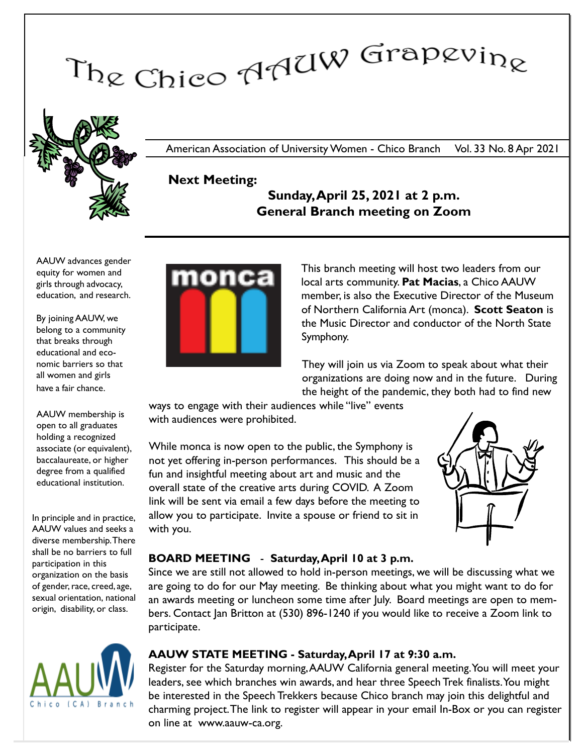# The Chico AAUW Grapevine



American Association of University Women - Chico Branch Vol. 33 No. 8 Apr 2021

# Next Meeting:

## Sunday, April 25, 2021 at 2 p.m. General Branch meeting on Zoom

AAUW advances gender equity for women and girls through advocacy, education, and research.

By joining AAUW, we belong to a community that breaks through educational and economic barriers so that all women and girls have a fair chance.

AAUW membership is open to all graduates holding a recognized associate (or equivalent), baccalaureate, or higher degree from a qualified educational institution.

In principle and in practice, AAUW values and seeks a diverse membership. There shall be no barriers to full participation in this organization on the basis of gender, race, creed, age, sexual orientation, national origin, disability, or class.





This branch meeting will host two leaders from our local arts community. Pat Macias, a Chico AAUW member, is also the Executive Director of the Museum of Northern California Art (monca). Scott Seaton is the Music Director and conductor of the North State Symphony.

They will join us via Zoom to speak about what their organizations are doing now and in the future. During the height of the pandemic, they both had to find new

ways to engage with their audiences while "live" events with audiences were prohibited.

While monca is now open to the public, the Symphony is not yet offering in-person performances. This should be a fun and insightful meeting about art and music and the overall state of the creative arts during COVID. A Zoom link will be sent via email a few days before the meeting to allow you to participate. Invite a spouse or friend to sit in with you.



## BOARD MEETING - Saturday, April 10 at 3 p.m.

Since we are still not allowed to hold in-person meetings, we will be discussing what we are going to do for our May meeting. Be thinking about what you might want to do for an awards meeting or luncheon some time after July. Board meetings are open to members. Contact Jan Britton at (530) 896-1240 if you would like to receive a Zoom link to participate.

## AAUW STATE MEETING - Saturday, April 17 at 9:30 a.m.

Register for the Saturday morning,AAUW California general meeting. You will meet your leaders, see which branches win awards, and hear three Speech Trek finalists. You might be interested in the Speech Trekkers because Chico branch may join this delightful and charming project.The link to register will appear in your email In-Box or you can register on line at www.aauw-ca.org.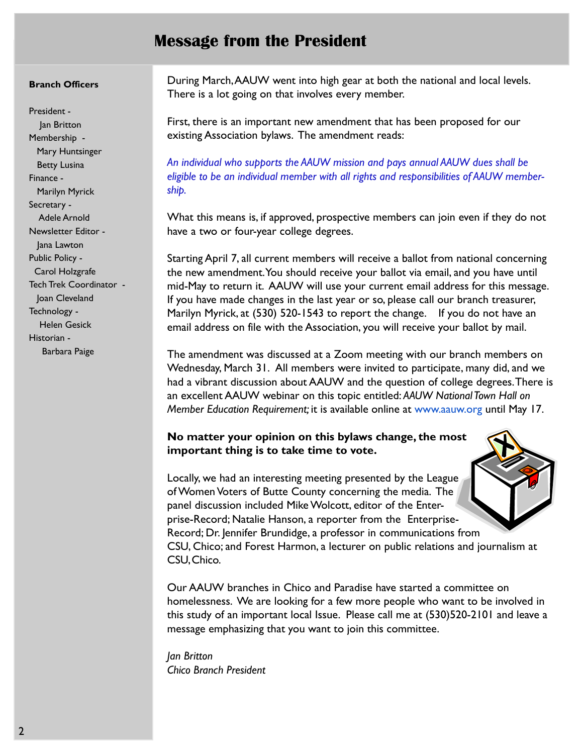## Message from the President

#### Branch Officers

President - Jan Britton Membership - Mary Huntsinger Betty Lusina Finance - Marilyn Myrick Secretary - Adele Arnold Newsletter Editor - Jana Lawton Public Policy - Carol Holzgrafe Tech Trek Coordinator - Joan Cleveland Technology - Helen Gesick Historian - Barbara Paige

During March,AAUW went into high gear at both the national and local levels. There is a lot going on that involves every member.

First, there is an important new amendment that has been proposed for our existing Association bylaws. The amendment reads:

An individual who supports the AAUW mission and pays annual AAUW dues shall be eligible to be an individual member with all rights and responsibilities of AAUW membership.

What this means is, if approved, prospective members can join even if they do not have a two or four-year college degrees.

Starting April 7, all current members will receive a ballot from national concerning the new amendment. You should receive your ballot via email, and you have until mid-May to return it. AAUW will use your current email address for this message. If you have made changes in the last year or so, please call our branch treasurer, Marilyn Myrick, at (530) 520-1543 to report the change. If you do not have an email address on file with the Association, you will receive your ballot by mail.

The amendment was discussed at a Zoom meeting with our branch members on Wednesday, March 31. All members were invited to participate, many did, and we had a vibrant discussion about AAUW and the question of college degrees.There is an excellent AAUW webinar on this topic entitled: AAUW National Town Hall on Member Education Requirement; it is available online at www.aauw.org until May 17.

## No matter your opinion on this bylaws change, the most important thing is to take time to vote.

Locally, we had an interesting meeting presented by the League of Women Voters of Butte County concerning the media. The panel discussion included Mike Wolcott, editor of the Enterprise-Record; Natalie Hanson, a reporter from the Enterprise-Record; Dr. Jennifer Brundidge, a professor in communications from CSU, Chico; and Forest Harmon, a lecturer on public relations and journalism at CSU, Chico.

Our AAUW branches in Chico and Paradise have started a committee on homelessness. We are looking for a few more people who want to be involved in this study of an important local Issue. Please call me at (530)520-2101 and leave a message emphasizing that you want to join this committee.

Jan Britton Chico Branch President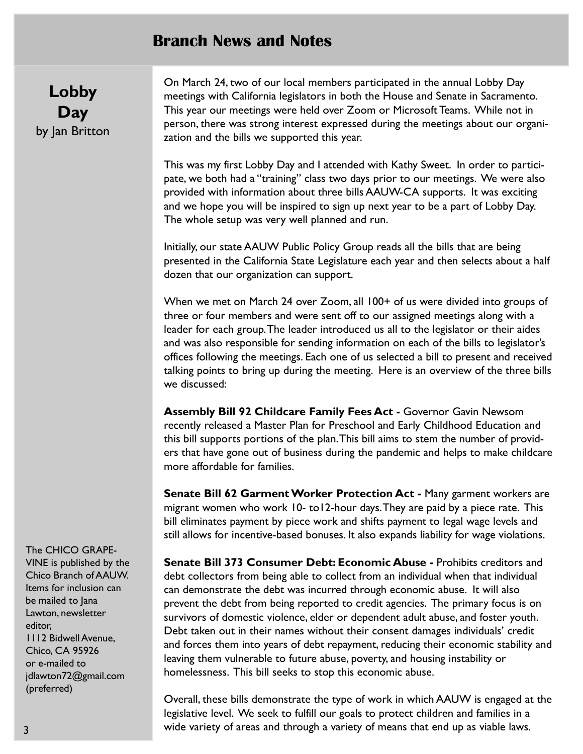## Branch News and Notes

Lobby **Day** by Jan Britton On March 24, two of our local members participated in the annual Lobby Day meetings with California legislators in both the House and Senate in Sacramento. This year our meetings were held over Zoom or Microsoft Teams. While not in person, there was strong interest expressed during the meetings about our organization and the bills we supported this year.

This was my first Lobby Day and I attended with Kathy Sweet. In order to participate, we both had a "training" class two days prior to our meetings. We were also provided with information about three bills AAUW-CA supports. It was exciting and we hope you will be inspired to sign up next year to be a part of Lobby Day. The whole setup was very well planned and run.

Initially, our state AAUW Public Policy Group reads all the bills that are being presented in the California State Legislature each year and then selects about a half dozen that our organization can support.

When we met on March 24 over Zoom, all 100+ of us were divided into groups of three or four members and were sent off to our assigned meetings along with a leader for each group. The leader introduced us all to the legislator or their aides and was also responsible for sending information on each of the bills to legislator's offices following the meetings. Each one of us selected a bill to present and received talking points to bring up during the meeting. Here is an overview of the three bills we discussed:

Assembly Bill 92 Childcare Family Fees Act - Governor Gavin Newsom recently released a Master Plan for Preschool and Early Childhood Education and this bill supports portions of the plan.This bill aims to stem the number of providers that have gone out of business during the pandemic and helps to make childcare more affordable for families.

Senate Bill 62 Garment Worker Protection Act - Many garment workers are migrant women who work 10- to12-hour days.They are paid by a piece rate. This bill eliminates payment by piece work and shifts payment to legal wage levels and still allows for incentive-based bonuses. It also expands liability for wage violations.

Senate Bill 373 Consumer Debt: Economic Abuse - Prohibits creditors and debt collectors from being able to collect from an individual when that individual can demonstrate the debt was incurred through economic abuse. It will also prevent the debt from being reported to credit agencies. The primary focus is on survivors of domestic violence, elder or dependent adult abuse, and foster youth. Debt taken out in their names without their consent damages individuals' credit and forces them into years of debt repayment, reducing their economic stability and leaving them vulnerable to future abuse, poverty, and housing instability or homelessness. This bill seeks to stop this economic abuse.

Overall, these bills demonstrate the type of work in which AAUW is engaged at the legislative level. We seek to fulfill our goals to protect children and families in a wide variety of areas and through a variety of means that end up as viable laws.

The CHICO GRAPE-VINE is published by the Chico Branch of AAUW. Items for inclusion can be mailed to Jana Lawton, newsletter editor, 1112 Bidwell Avenue, Chico, CA 95926 or e-mailed to jdlawton72@gmail.com (preferred)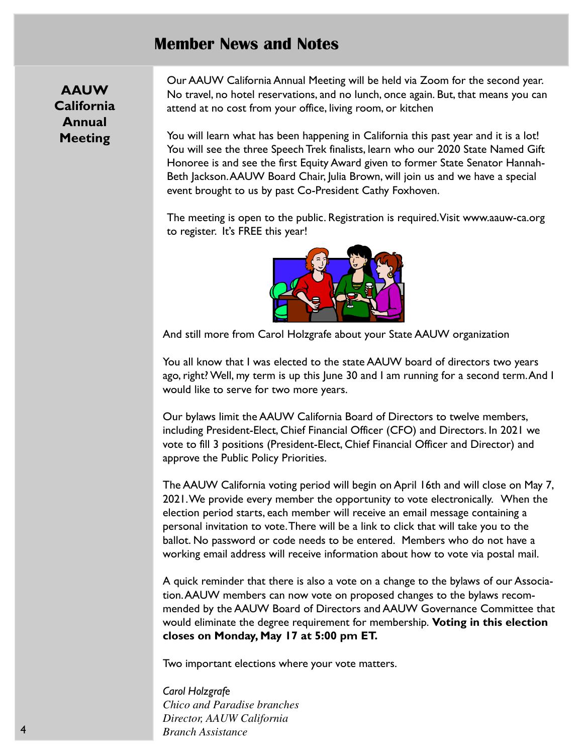## Member News and Notes

AAUW California Annual Meeting

Our AAUW California Annual Meeting will be held via Zoom for the second year. No travel, no hotel reservations, and no lunch, once again. But, that means you can attend at no cost from your office, living room, or kitchen

You will learn what has been happening in California this past year and it is a lot! You will see the three Speech Trek finalists, learn who our 2020 State Named Gift Honoree is and see the first Equity Award given to former State Senator Hannah-Beth Jackson.AAUW Board Chair, Julia Brown, will join us and we have a special event brought to us by past Co-President Cathy Foxhoven.

The meeting is open to the public. Registration is required.Visit www.aauw-ca.org to register. It's FREE this year!



And still more from Carol Holzgrafe about your State AAUW organization

You all know that I was elected to the state AAUW board of directors two years ago, right? Well, my term is up this June 30 and I am running for a second term.And I would like to serve for two more years.

Our bylaws limit the AAUW California Board of Directors to twelve members, including President-Elect, Chief Financial Officer (CFO) and Directors. In 2021 we vote to fill 3 positions (President-Elect, Chief Financial Officer and Director) and approve the Public Policy Priorities.

The AAUW California voting period will begin on April 16th and will close on May 7, 2021. We provide every member the opportunity to vote electronically. When the election period starts, each member will receive an email message containing a personal invitation to vote. There will be a link to click that will take you to the ballot. No password or code needs to be entered. Members who do not have a working email address will receive information about how to vote via postal mail.

A quick reminder that there is also a vote on a change to the bylaws of our Association.AAUW members can now vote on proposed changes to the bylaws recommended by the AAUW Board of Directors and AAUW Governance Committee that would eliminate the degree requirement for membership. Voting in this election closes on Monday, May 17 at 5:00 pm ET.

Two important elections where your vote matters.

Carol Holzgrafe *Chico and Paradise branches Director, AAUW California Branch Assistance*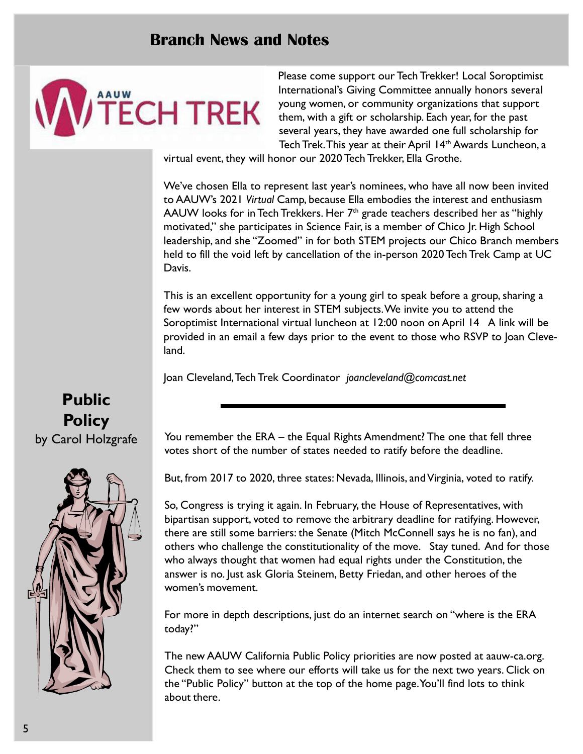## Branch News and Notes



Please come support our Tech Trekker! Local Soroptimist International's Giving Committee annually honors several young women, or community organizations that support them, with a gift or scholarship. Each year, for the past several years, they have awarded one full scholarship for Tech Trek. This year at their April 14<sup>th</sup> Awards Luncheon, a

virtual event, they will honor our 2020 Tech Trekker, Ella Grothe.

We've chosen Ella to represent last year's nominees, who have all now been invited to AAUW's 2021 Virtual Camp, because Ella embodies the interest and enthusiasm AAUW looks for in Tech Trekkers. Her  $7<sup>th</sup>$  grade teachers described her as "highly motivated," she participates in Science Fair, is a member of Chico Jr. High School leadership, and she "Zoomed" in for both STEM projects our Chico Branch members held to fill the void left by cancellation of the in-person 2020 Tech Trek Camp at UC Davis.

This is an excellent opportunity for a young girl to speak before a group, sharing a few words about her interest in STEM subjects. We invite you to attend the Soroptimist International virtual luncheon at 12:00 noon on April 14 A link will be provided in an email a few days prior to the event to those who RSVP to Joan Cleveland.

Joan Cleveland, Tech Trek Coordinator joancleveland@comcast.net

# Public **Policy** by Carol Holzgrafe



You remember the ERA – the Equal Rights Amendment? The one that fell three votes short of the number of states needed to ratify before the deadline.

But, from 2017 to 2020, three states: Nevada, Illinois, and Virginia, voted to ratify.

So, Congress is trying it again. In February, the House of Representatives, with bipartisan support, voted to remove the arbitrary deadline for ratifying. However, there are still some barriers: the Senate (Mitch McConnell says he is no fan), and others who challenge the constitutionality of the move. Stay tuned. And for those who always thought that women had equal rights under the Constitution, the answer is no. Just ask Gloria Steinem, Betty Friedan, and other heroes of the women's movement.

For more in depth descriptions, just do an internet search on "where is the ERA today?"

The new AAUW California Public Policy priorities are now posted at aauw-ca.org. Check them to see where our efforts will take us for the next two years. Click on the "Public Policy" button at the top of the home page. You'll find lots to think about there.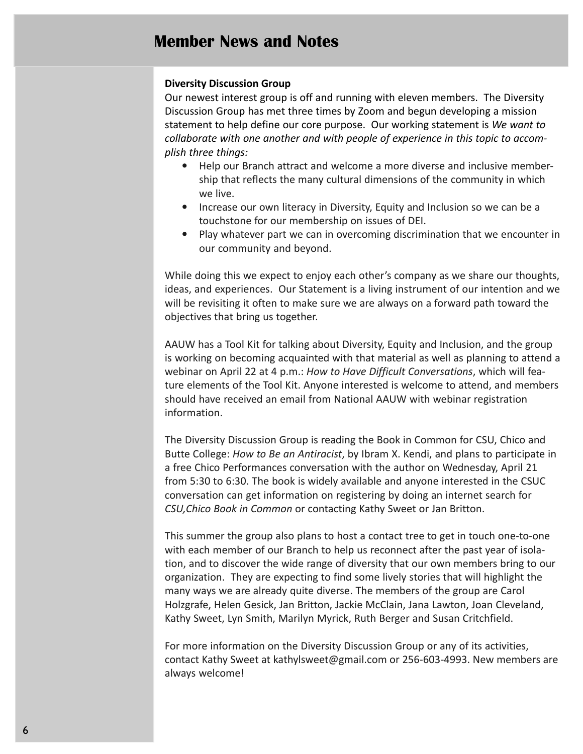### Diversity Discussion Group

Our newest interest group is off and running with eleven members. The Diversity Discussion Group has met three times by Zoom and begun developing a mission statement to help define our core purpose. Our working statement is We want to collaborate with one another and with people of experience in this topic to accomplish three things:

- Help our Branch attract and welcome a more diverse and inclusive membership that reflects the many cultural dimensions of the community in which we live.
- Increase our own literacy in Diversity, Equity and Inclusion so we can be a touchstone for our membership on issues of DEI.
- Play whatever part we can in overcoming discrimination that we encounter in our community and beyond.

While doing this we expect to enjoy each other's company as we share our thoughts, ideas, and experiences. Our Statement is a living instrument of our intention and we will be revisiting it often to make sure we are always on a forward path toward the objectives that bring us together.

AAUW has a Tool Kit for talking about Diversity, Equity and Inclusion, and the group is working on becoming acquainted with that material as well as planning to attend a webinar on April 22 at 4 p.m.: How to Have Difficult Conversations, which will feature elements of the Tool Kit. Anyone interested is welcome to attend, and members should have received an email from National AAUW with webinar registration information.

The Diversity Discussion Group is reading the Book in Common for CSU, Chico and Butte College: How to Be an Antiracist, by Ibram X. Kendi, and plans to participate in a free Chico Performances conversation with the author on Wednesday, April 21 from 5:30 to 6:30. The book is widely available and anyone interested in the CSUC conversation can get information on registering by doing an internet search for CSU,Chico Book in Common or contacting Kathy Sweet or Jan Britton.

This summer the group also plans to host a contact tree to get in touch one-to-one with each member of our Branch to help us reconnect after the past year of isolation, and to discover the wide range of diversity that our own members bring to our organization. They are expecting to find some lively stories that will highlight the many ways we are already quite diverse. The members of the group are Carol Holzgrafe, Helen Gesick, Jan Britton, Jackie McClain, Jana Lawton, Joan Cleveland, Kathy Sweet, Lyn Smith, Marilyn Myrick, Ruth Berger and Susan Critchfield.

For more information on the Diversity Discussion Group or any of its activities, contact Kathy Sweet at kathylsweet@gmail.com or 256-603-4993. New members are always welcome!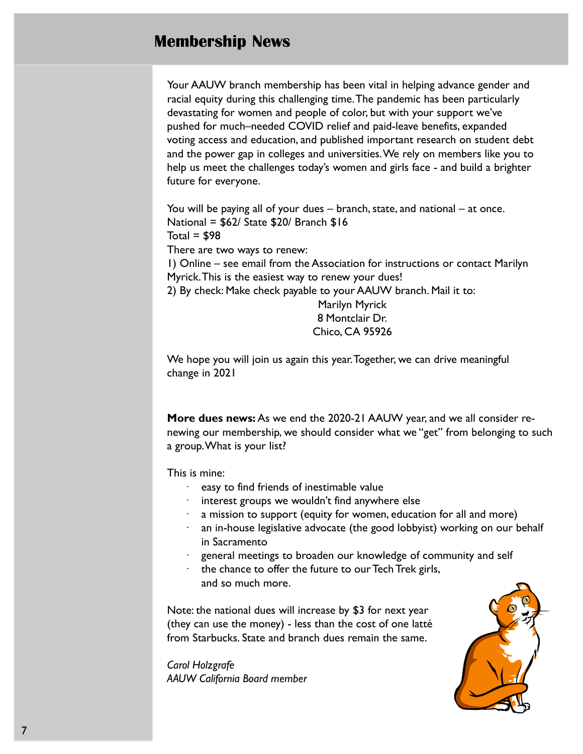## Membership News

Your AAUW branch membership has been vital in helping advance gender and racial equity during this challenging time. The pandemic has been particularly devastating for women and people of color, but with your support we've pushed for much–needed COVID relief and paid-leave benefits, expanded voting access and education, and published important research on student debt and the power gap in colleges and universities. We rely on members like you to help us meet the challenges today's women and girls face - and build a brighter future for everyone.

You will be paying all of your dues – branch, state, and national – at once. National = \$62/ State \$20/ Branch \$16 Total =  $$98$ There are two ways to renew:

1) Online – see email from the Association for instructions or contact Marilyn Myrick.This is the easiest way to renew your dues!

2) By check: Make check payable to your AAUW branch. Mail it to:

Marilyn Myrick 8 Montclair Dr. Chico, CA 95926

We hope you will join us again this year. Together, we can drive meaningful change in 2021

More dues news: As we end the 2020-21 AAUW year, and we all consider renewing our membership, we should consider what we "get" from belonging to such a group. What is your list?

This is mine:

- easy to find friends of inestimable value
- interest groups we wouldn't find anywhere else
- $\cdot$  a mission to support (equity for women, education for all and more)
- · an in-house legislative advocate (the good lobbyist) working on our behalf in Sacramento
- general meetings to broaden our knowledge of community and self
- the chance to offer the future to our Tech Trek girls, and so much more.

Note: the national dues will increase by \$3 for next year (they can use the money) - less than the cost of one latté from Starbucks. State and branch dues remain the same.

Carol Holzgrafe AAUW California Board member

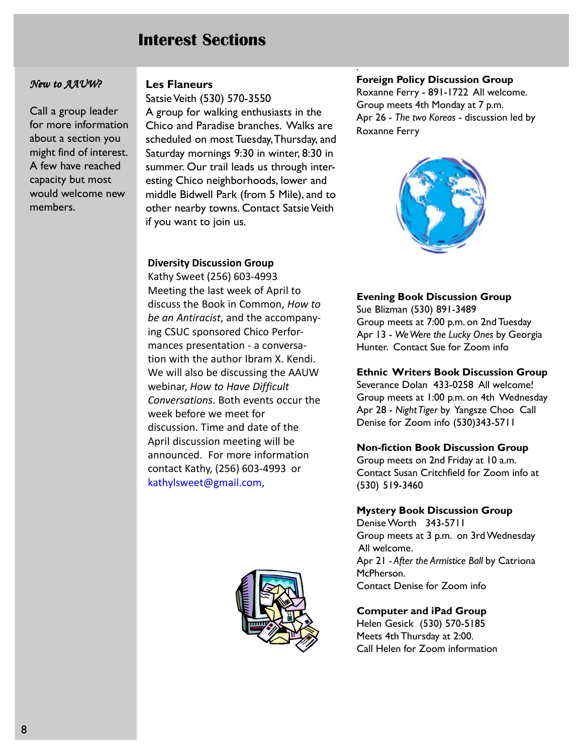## Interest Sections

### New to AAUW?

Call a group leader for more information about a section you might find of interest. A few have reached capacity but most would welcome new members.

## Les Flaneurs

Satsie Veith (530) 570-3550

A group for walking enthusiasts in the Chico and Paradise branches. Walks are scheduled on most Tuesday, Thursday, and Saturday mornings 9:30 in winter, 8:30 in summer. Our trail leads us through interesting Chico neighborhoods, lower and middle Bidwell Park (from 5 Mile), and to other nearby towns. Contact Satsie Veith if you want to join us.

### Diversity Discussion Group

Kathy Sweet (256) 603-4993 Meeting the last week of April to discuss the Book in Common, How to be an Antiracist, and the accompanying CSUC sponsored Chico Performances presentation - a conversation with the author Ibram X. Kendi. We will also be discussing the AAUW webinar, How to Have Difficult Conversations. Both events occur the week before we meet for discussion. Time and date of the April discussion meeting will be announced. For more information contact Kathy, (256) 603-4993 or kathylsweet@gmail.com,



#### Foreign Policy Discussion Group

.

Roxanne Ferry - 891-1722 All welcome. Group meets 4th Monday at 7 p.m. Apr 26 - The two Koreas - discussion led by Roxanne Ferry



#### Evening Book Discussion Group

Sue Blizman (530) 891-3489 Group meets at 7:00 p.m. on 2nd Tuesday Apr 13 - We Were the Lucky Ones by Georgia Hunter. Contact Sue for Zoom info

#### Ethnic Writers Book Discussion Group

Severance Dolan 433-0258 All welcome! Group meets at 1:00 p.m. on 4th Wednesday Apr 28 - Night Tiger by Yangsze Choo Call Denise for Zoom info (530)343-5711

#### Non-fiction Book Discussion Group

Group meets on 2nd Friday at 10 a.m. Contact Susan Critchfield for Zoom info at (530) 519-3460

#### Mystery Book Discussion Group

Denise Worth 343-5711 Group meets at 3 p.m. on 3rd Wednesday All welcome. Apr 21 - After the Armistice Ball by Catriona McPherson. Contact Denise for Zoom info

#### Computer and iPad Group

Helen Gesick (530) 570-5185 Meets 4th Thursday at 2:00. Call Helen for Zoom information